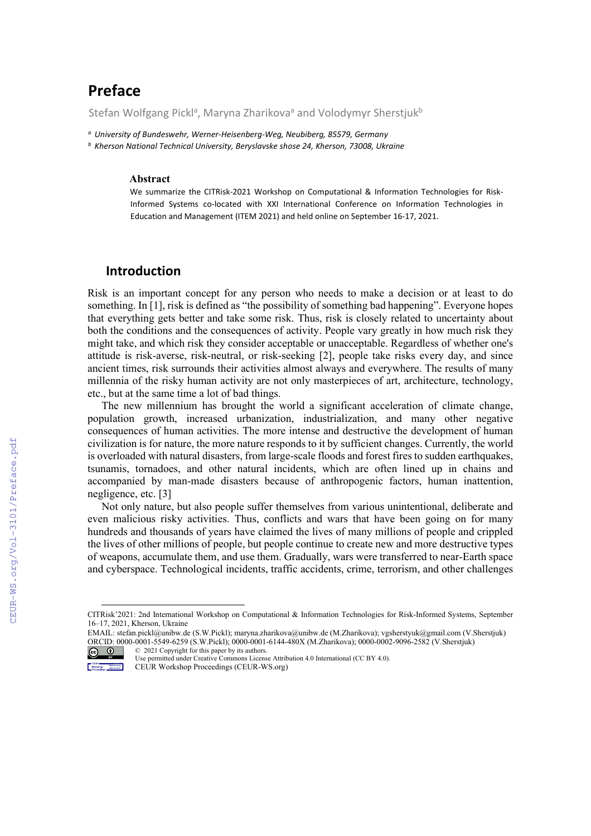# **Preface**

Stefan Wolfgang Pickl<sup>a</sup>, Maryna Zharikova<sup>a</sup> and Volodymyr Sherstjuk<sup>b</sup>

*<sup>a</sup> University of Bundeswehr, Werner-Heisenberg-Weg, Neubiberg, 85579, Germany*

*<sup>b</sup> Kherson National Technical University, Beryslavske shose 24, Kherson, 73008, Ukraine*

#### **Abstract[1](#page-0-0)**

We summarize the CITRisk-2021 Workshop on Computational & Information Technologies for Risk-Informed Systems co-located with XXI International Conference on Information Technologies in Education and Management (ІТЕМ 2021) and held online on September 16-17, 2021.

## **Introduction**

Risk is an important concept for any person who needs to make a decision or at least to do something. In [1], risk is defined as "the possibility of something bad happening". Everyone hopes that everything gets better and take some risk. Thus, risk is closely related to uncertainty about both the conditions and the consequences of activity. People vary greatly in how much risk they might take, and which risk they consider acceptable or unacceptable. Regardless of whether one's attitude is risk-averse, risk-neutral, or risk-seeking [2], people take risks every day, and since ancient times, risk surrounds their activities almost always and everywhere. The results of many millennia of the risky human activity are not only masterpieces of art, architecture, technology, etc., but at the same time a lot of bad things.

The new millennium has brought the world a significant acceleration of climate change, population growth, increased urbanization, industrialization, and many other negative consequences of human activities. The more intense and destructive the development of human civilization is for nature, the more nature responds to it by sufficient changes. Currently, the world is overloaded with natural disasters, from large-scale floods and forest fires to sudden earthquakes, tsunamis, tornadoes, and other natural incidents, which are often lined up in chains and accompanied by man-made disasters because of anthropogenic factors, human inattention, negligence, etc. [3]

Not only nature, but also people suffer themselves from various unintentional, deliberate and even malicious risky activities. Thus, conflicts and wars that have been going on for many hundreds and thousands of years have claimed the lives of many millions of people and crippled the lives of other millions of people, but people continue to create new and more destructive types of weapons, accumulate them, and use them. Gradually, wars were transferred to near-Earth space and cyberspace. Technological incidents, traffic accidents, crime, terrorism, and other challenges

<span id="page-0-0"></span>CITRisk'2021: 2nd International Workshop on Computational & Information Technologies for Risk-Informed Systems, September 16–17, 2021, Kherson, Ukraine

EMAIL: stefan.pickl@unibw.de (S.W.Pickl); [maryna.zharikova@unibw.de](mailto:maryna.zharikova@unibw.de) (M.Zharikova)[; vgsherstyuk@gmail.com](mailto:vgsherstyuk@gmail.com) (V.Sherstjuk) ORCID: 0000-0001-5549-6259 (S.W.Pickl); 0000-0001-6144-480X (M.Zharikova); 0000-0002-9096-2582 (V.Sherstjuk) © 2021 Copyright for this paper by its authors.  $\circledcirc$ 

Use permitted under Creative Commons License Attribution 4.0 International (CC BY 4.0).

**Determined doctor** CEUR Workshop Proceedings (CEUR-WS.org)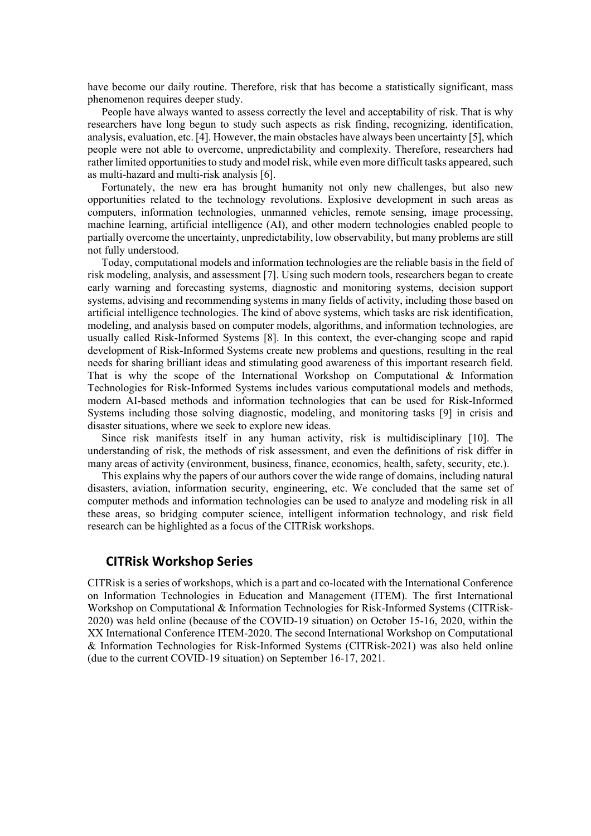have become our daily routine. Therefore, risk that has become a statistically significant, mass phenomenon requires deeper study.

People have always wanted to assess correctly the level and acceptability of risk. That is why researchers have long begun to study such aspects as risk finding, recognizing, identification, analysis, evaluation, etc. [4]. However, the main obstacles have always been uncertainty [5], which people were not able to overcome, unpredictability and complexity. Therefore, researchers had rather limited opportunities to study and model risk, while even more difficult tasks appeared, such as multi-hazard and multi-risk analysis [6].

Fortunately, the new era has brought humanity not only new challenges, but also new opportunities related to the technology revolutions. Explosive development in such areas as computers, information technologies, unmanned vehicles, remote sensing, image processing, machine learning, artificial intelligence (AI), and other modern technologies enabled people to partially overcome the uncertainty, unpredictability, low observability, but many problems are still not fully understood.

Today, computational models and information technologies are the reliable basis in the field of risk modeling, analysis, and assessment [7]. Using such modern tools, researchers began to create early warning and forecasting systems, diagnostic and monitoring systems, decision support systems, advising and recommending systems in many fields of activity, including those based on artificial intelligence technologies. The kind of above systems, which tasks are risk identification, modeling, and analysis based on computer models, algorithms, and information technologies, are usually called Risk-Informed Systems [8]. In this context, the ever-changing scope and rapid development of Risk-Informed Systems create new problems and questions, resulting in the real needs for sharing brilliant ideas and stimulating good awareness of this important research field. That is why the scope of the International Workshop on Computational & Information Technologies for Risk-Informed Systems includes various computational models and methods, modern AI-based methods and information technologies that can be used for Risk-Informed Systems including those solving diagnostic, modeling, and monitoring tasks [9] in crisis and disaster situations, where we seek to explore new ideas.

Since risk manifests itself in any human activity, risk is multidisciplinary [10]. The understanding of risk, the methods of risk assessment, and even the definitions of risk differ in many areas of activity (environment, business, finance, economics, health, safety, security, etc.).

This explains why the papers of our authors cover the wide range of domains, including natural disasters, aviation, information security, engineering, etc. We concluded that the same set of computer methods and information technologies can be used to analyze and modeling risk in all these areas, so bridging computer science, intelligent information technology, and risk field research can be highlighted as a focus of the CITRisk workshops.

# **CITRisk Workshop Series**

CITRisk is a series of workshops, which is a part and co-located with the International Conference on Information Technologies in Education and Management (ІТЕМ). The first International Workshop on Computational & Information Technologies for Risk-Informed Systems (CITRisk-2020) was held online (because of the COVID-19 situation) on October 15-16, 2020, within the XX International Conference ІТЕМ-2020. The second International Workshop on Computational & Information Technologies for Risk-Informed Systems (CITRisk-2021) was also held online (due to the current COVID-19 situation) on September 16-17, 2021.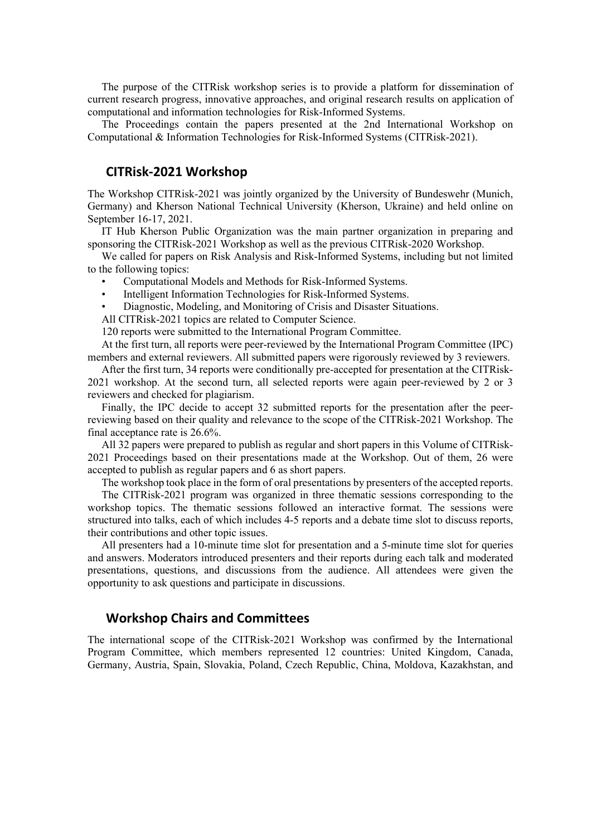The purpose of the CITRisk workshop series is to provide a platform for dissemination of current research progress, innovative approaches, and original research results on application of computational and information technologies for Risk-Informed Systems.

The Proceedings contain the papers presented at the 2nd International Workshop on Computational & Information Technologies for Risk-Informed Systems (CITRisk-2021).

## **CITRisk-2021 Workshop**

The Workshop CITRisk-2021 was jointly organized by the University of Bundeswehr (Munich, Germany) and Kherson National Technical University (Kherson, Ukraine) and held online on September 16-17, 2021.

IT Hub Kherson Public Organization was the main partner organization in preparing and sponsoring the CITRisk-2021 Workshop as well as the previous CITRisk-2020 Workshop.

We called for papers on Risk Analysis and Risk-Informed Systems, including but not limited to the following topics:

- Computational Models and Methods for Risk-Informed Systems.
- Intelligent Information Technologies for Risk-Informed Systems.
- Diagnostic, Modeling, and Monitoring of Crisis and Disaster Situations.

All CITRisk-2021 topics are related to Computer Science.

120 reports were submitted to the International Program Committee.

At the first turn, all reports were peer-reviewed by the International Program Committee (IPC) members and external reviewers. All submitted papers were rigorously reviewed by 3 reviewers.

After the first turn, 34 reports were conditionally pre-accepted for presentation at the CITRisk-2021 workshop. At the second turn, all selected reports were again peer-reviewed by 2 or 3 reviewers and checked for plagiarism.

Finally, the IPC decide to accept 32 submitted reports for the presentation after the peerreviewing based on their quality and relevance to the scope of the CITRisk-2021 Workshop. The final acceptance rate is 26.6%.

All 32 papers were prepared to publish as regular and short papers in this Volume of CITRisk-2021 Proceedings based on their presentations made at the Workshop. Out of them, 26 were accepted to publish as regular papers and 6 as short papers.

The workshop took place in the form of oral presentations by presenters of the accepted reports.

The CITRisk-2021 program was organized in three thematic sessions corresponding to the workshop topics. The thematic sessions followed an interactive format. The sessions were structured into talks, each of which includes 4-5 reports and a debate time slot to discuss reports, their contributions and other topic issues.

All presenters had a 10-minute time slot for presentation and a 5-minute time slot for queries and answers. Moderators introduced presenters and their reports during each talk and moderated presentations, questions, and discussions from the audience. All attendees were given the opportunity to ask questions and participate in discussions.

# **Workshop Chairs and Committees**

The international scope of the CITRisk-2021 Workshop was confirmed by the International Program Committee, which members represented 12 countries: United Kingdom, Canada, Germany, Austria, Spain, Slovakia, Poland, Czech Republic, China, Moldova, Kazakhstan, and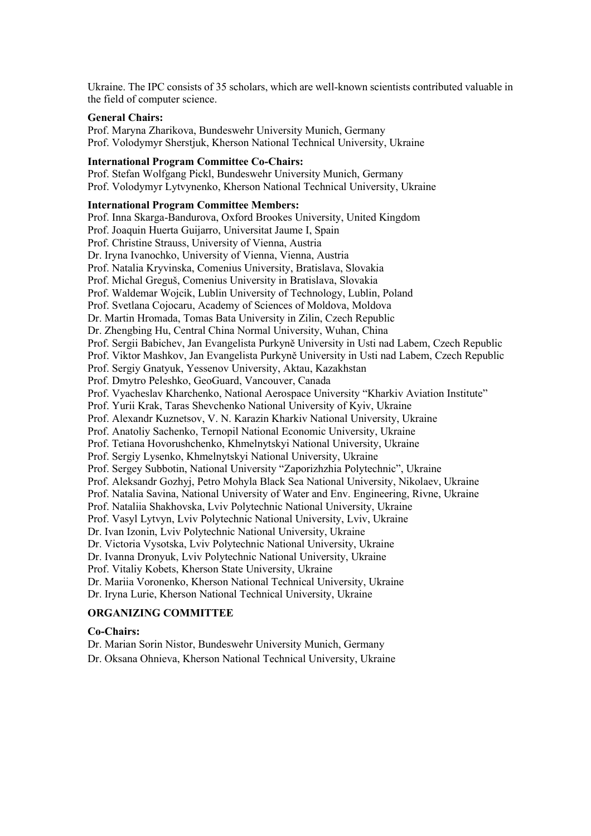Ukraine. The IPC consists of 35 scholars, which are well-known scientists contributed valuable in the field of computer science.

## **General Chairs:**

Prof. Maryna Zharikova, Bundeswehr University Munich, Germany Prof. Volodymyr Sherstjuk, Kherson National Technical University, Ukraine

## **International Program Committee Co-Chairs:**

Prof. Stefan Wolfgang Pickl, Bundeswehr University Munich, Germany Prof. Volodymyr Lytvynenko, Kherson National Technical University, Ukraine

## **International Program Committee Members:**

Prof. Inna Skarga-Bandurova, Oxford Brookes University, United Kingdom Prof. Joaquin Huerta Guijarro, Universitat Jaume I, Spain Prof. Christine Strauss, University of Vienna, Austria Dr. Iryna Ivanochko, University of Vienna, Vienna, Austria Prof. Natalia Kryvinska, Comenius University, Bratislava, Slovakia Prof. Michal Greguš, Comenius University in Bratislava, Slovakia Prof. Waldemar Wojcik, Lublin University of Technology, Lublin, Poland Prof. Svetlana Cojocaru, Academy of Sciences of Moldova, Moldova Dr. Martin Hromada, Tomas Bata University in Zilin, Czech Republic Dr. Zhengbing Hu, Central China Normal University, Wuhan, China Prof. Sergii Babichev, Jan Evangelista Purkyně University in Usti nad Labem, Czech Republic Prof. Viktor Mashkov, Jan Evangelista Purkyně University in Usti nad Labem, Czech Republic Prof. Sergiy Gnatyuk, Yessenov University, Aktau, Kazakhstan Prof. Dmytro Peleshko, GeoGuard, Vancouver, Canada Prof. Vyacheslav Kharchenko, National Aerospace University "Kharkiv Aviation Institute" Prof. Yurii Krak, Taras Shevchenko National University of Kyiv, Ukraine Prof. Alexandr Kuznetsov, V. N. Karazin Kharkiv National University, Ukraine Prof. Anatoliy Sachenko, Ternopil National Economic University, Ukraine Prof. Tetiana Hovorushchenko, Khmelnytskyi National University, Ukraine Prof. Sergiy Lysenko, Khmelnytskyi National University, Ukraine Prof. Sergey Subbotin, National University "Zaporizhzhia Polytechnic", Ukraine Prof. Aleksandr Gozhyj, Petro Mohyla Black Sea National University, Nikolaev, Ukraine Prof. Natalia Savina, National University of Water and Env. Engineering, Rivne, Ukraine Prof. Nataliia Shakhovska, Lviv Polytechnic National University, Ukraine Prof. Vasyl Lytvyn, Lviv Polytechnic National University, Lviv, Ukraine Dr. Ivan Izonin, Lviv Polytechnic National University, Ukraine Dr. Victoria Vysotska, Lviv Polytechnic National University, Ukraine Dr. Ivanna Dronyuk, Lviv Polytechnic National University, Ukraine Prof. Vitaliy Kobets, Kherson State University, Ukraine Dr. Mariia Voronenko, Kherson National Technical University, Ukraine Dr. Iryna Lurie, Kherson National Technical University, Ukraine

#### **ORGANIZING COMMITTEE**

### **Co-Chairs:**

Dr. Marian Sorin Nistor, Bundeswehr University Munich, Germany

Dr. Oksana Ohnieva, Kherson National Technical University, Ukraine